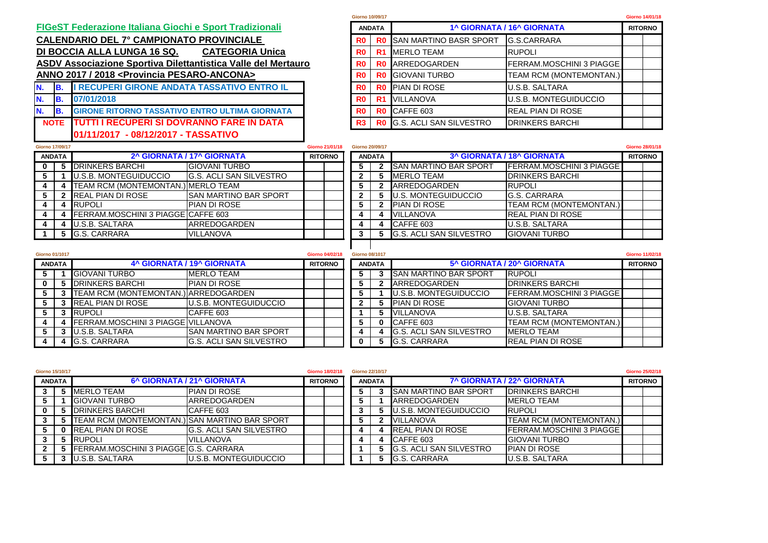## **FIGeST Federazione Italiana Giochi e Sport Tradizionali**

**ANNO 2017 / 2018 <Provincia PESARO-ANCONA> ASDV Associazione Sportiva Dilettantistica Valle del Mertauro CALENDARIO DEL 7° CAMPIONATO PROVINCIALE DI BOCCIA ALLA LUNGA 16 SQ.** 

| N. | I RECUPERI GIRONE ANDATA TASSATIVO ENTRO IL           | R0. |    | <b>RO IPIAN DI ROSE</b>           | <b>U.S.B. SALTARA</b>         |
|----|-------------------------------------------------------|-----|----|-----------------------------------|-------------------------------|
|    | 07/01/2018                                            | R0  | R1 | VILLANOVA                         | <b>IU.S.B. MONTEGUIDUCCIO</b> |
|    | <b>GIRONE RITORNO TASSATIVO ENTRO ULTIMA GIORNATA</b> | R0. |    | <b>RO CAFFE 603</b>               | IREAL PIAN DI ROSE            |
|    | <b>ITUTTI I RECUPERI SI DOVRANNO FARE IN DATA</b>     |     |    | <b>RO</b> G.S. ACLI SAN SILVESTRO | <b>IDRINKERS BARCHI</b>       |
|    | - 08/12/2017 - TASSATIVO<br>101/11/2017               |     |    |                                   |                               |

| <b>Siorno 10/09/17</b> |                |                                |                                   | Giorno 14/01/18 |
|------------------------|----------------|--------------------------------|-----------------------------------|-----------------|
|                        | <b>ANDATA</b>  |                                | 1^ GIORNATA / 16^ GIORNATA        | <b>RITORNO</b>  |
| R <sub>0</sub>         | R <sub>0</sub> | <b>SAN MARTINO BASR SPORT</b>  | G.S.CARRARA                       |                 |
| R <sub>0</sub>         | R1             | <b>MERLO TEAM</b>              | <b>RUPOLI</b>                     |                 |
| R <sub>0</sub>         | R <sub>0</sub> | ARREDOGARDEN                   | <b>FERRAM.MOSCHINI 3 PIAGGE  </b> |                 |
| R <sub>0</sub>         | R0             | <b>GIOVANI TURBO</b>           | <b>TEAM RCM (MONTEMONTAN.)</b>    |                 |
| R <sub>0</sub>         | R <sub>0</sub> | <b>PIAN DI ROSE</b>            | <b>U.S.B. SALTARA</b>             |                 |
| R <sub>0</sub>         | R1             | <b>VILLANOVA</b>               | <b>U.S.B. MONTEGUIDUCCIO</b>      |                 |
| R <sub>0</sub>         | R0             | CAFFE 603                      | <b>REAL PIAN DI ROSE</b>          |                 |
| R <sub>3</sub>         | R0.            | <b>G.S. ACLI SAN SILVESTRO</b> | <b>IDRINKERS BARCHI</b>           |                 |

| <b>Giorno 17/09/17</b> |  |                                    |                                 | Giorno 21/01/18 | <b>Giorno 20/09/17</b> |               |                                |                                   |  |                |  |
|------------------------|--|------------------------------------|---------------------------------|-----------------|------------------------|---------------|--------------------------------|-----------------------------------|--|----------------|--|
| <b>ANDATA</b>          |  |                                    | 2^ GIORNATA / 17^ GIORNATA      | <b>RITORNO</b>  |                        | <b>ANDATA</b> |                                | <b>3^ GIORNATA / 18^ GIORNATA</b> |  | <b>RITORNO</b> |  |
| 0                      |  | <b>DRINKERS BARCHI</b>             | <b>GIOVANI TURBO</b>            |                 | э                      |               | <b>ISAN MARTINO BAR SPORT</b>  | <b>IFERRAM.MOSCHINI 3 PIAGGE</b>  |  |                |  |
|                        |  | <b>U.S.B. MONTEGUIDUCCIO</b>       | <b>IG.S. ACLI SAN SILVESTRO</b> |                 |                        |               | <b>MERLO TEAM</b>              | <b>IDRINKERS BARCHI</b>           |  |                |  |
|                        |  | TEAM RCM (MONTEMONTAN.) MERLO TEAM |                                 |                 | G                      |               | ARREDOGARDEN                   | <b>RUPOLI</b>                     |  |                |  |
|                        |  | <b>REAL PIAN DI ROSE</b>           | <b>ISAN MARTINO BAR SPORT</b>   |                 |                        |               | <b>U.S. MONTEGUIDUCCIO</b>     | G.S. CARRARA                      |  |                |  |
|                        |  | <b>RUPOLI</b>                      | <b>PIAN DI ROSE</b>             |                 | e.                     |               | <b>PIAN DI ROSE</b>            | TEAM RCM (MONTEMONTAN.)           |  |                |  |
|                        |  | FERRAM.MOSCHINI 3 PIAGGE CAFFE 603 |                                 |                 |                        |               | <b>VILLANOVA</b>               | <b>IREAL PIAN DI ROSE</b>         |  |                |  |
|                        |  | U.S.B. SALTARA                     | <b>ARREDOGARDEN</b>             |                 |                        |               | CAFFE 603                      | <b>U.S.B. SALTARA</b>             |  |                |  |
|                        |  | G.S. CARRARA                       | <b>VILLANOVA</b>                |                 | a                      |               | <b>G.S. ACLI SAN SILVESTRO</b> | <b>GIOVANI TURBO</b>              |  |                |  |
|                        |  |                                    |                                 |                 |                        |               |                                |                                   |  |                |  |

|                        |                       | <b>U.S. MONTEGUIDUCCIO</b>     | <b>G.S. CARRARA</b>     |                 |
|------------------------|-----------------------|--------------------------------|-------------------------|-----------------|
|                        |                       | <b>PIAN DI ROSE</b>            | TEAM RCM (MONTEMONTAN.) |                 |
|                        |                       | <b>VILLANOVA</b>               | IREAL PIAN DI ROSE      |                 |
|                        |                       | CAFFE 603                      | U.S.B. SALTARA          |                 |
|                        |                       | <b>G.S. ACLI SAN SILVESTRO</b> | <b>IGIOVANI TURBO</b>   |                 |
|                        |                       |                                |                         |                 |
| <b>Giorno 04/02/18</b> | <b>Giorno 08/1017</b> |                                |                         | Giorno 11/02/18 |
|                        |                       |                                |                         |                 |

|     | <b>Giorno 01/1017</b>                       |                                           |                                 |  | Giorno 04/02/18 |  | Giorno 08/1017 |   |                                 |                                  |
|-----|---------------------------------------------|-------------------------------------------|---------------------------------|--|-----------------|--|----------------|---|---------------------------------|----------------------------------|
|     | 4^ GIORNATA / 19^ GIORNATA<br><b>ANDATA</b> |                                           |                                 |  | <b>RITORNO</b>  |  | <b>ANDATA</b>  |   |                                 | 5^ GIORNATA / 20^ GIORNATA       |
| -5  |                                             | <b>GIOVANI TURBO</b>                      | <b>MERLO TEAM</b>               |  |                 |  |                |   | <b>SAN MARTINO BAR SPORT</b>    | <b>RUPOLI</b>                    |
| 0   |                                             | <b>DRINKERS BARCHI</b>                    | <b>PIAN DI ROSE</b>             |  |                 |  |                |   | <b>ARREDOGARDEN</b>             | <b>IDRINKERS BARCHI</b>          |
| -5  |                                             | TEAM RCM (MONTEMONTAN.) ARREDOGARDEN      |                                 |  |                 |  |                |   | <b>U.S.B. MONTEGUIDUCCIO</b>    | <b>IFERRAM.MOSCHINI 3 PIAGGE</b> |
| -5  |                                             | <b>REAL PIAN DI ROSE</b>                  | <b>IU.S.B. MONTEGUIDUCCIO</b>   |  |                 |  |                |   | <b>PIAN DI ROSE</b>             | <b>GIOVANI TURBO</b>             |
| -5  |                                             | <b>RUPOLI</b>                             | CAFFE 603                       |  |                 |  |                |   | <b>VILLANOVA</b>                | <b>U.S.B. SALTARA</b>            |
| -4  |                                             | <b>FERRAM.MOSCHINI 3 PIAGGE VILLANOVA</b> |                                 |  |                 |  |                | 0 | CAFFE 603                       | TEAM RCM (MONTEMONTAN.)          |
| - 5 |                                             | U.S.B. SALTARA                            | ISAN MARTINO BAR SPORT          |  |                 |  |                |   | <b>IG.S. ACLI SAN SILVESTRO</b> | <b>IMERLO TEAM</b>               |
| -4  |                                             | <b>G.S. CARRARA</b>                       | <b>IG.S. ACLI SAN SILVESTRO</b> |  |                 |  |                |   | <b>G.S. CARRARA</b>             | <b>REAL PIAN DI ROSE</b>         |

|                         | <b>Giorno 04/02/18</b>        | <b>Giorno 08/1017</b> |  |               |   |                                |                                 | Giorno 11/02/18 |  |
|-------------------------|-------------------------------|-----------------------|--|---------------|---|--------------------------------|---------------------------------|-----------------|--|
|                         | 4^ GIORNATA / 19^ GIORNATA    | <b>RITORNO</b>        |  | <b>ANDATA</b> |   |                                | 5^ GIORNATA / 20^ GIORNATA      | <b>RITORNO</b>  |  |
|                         | <b>MERLO TEAM</b>             |                       |  |               |   | <b>SAN MARTINO BAR SPORT</b>   | <b>RUPOLI</b>                   |                 |  |
| CHI                     | PIAN DI ROSE                  |                       |  | C             |   | <b>ARREDOGARDEN</b>            | <b>IDRINKERS BARCHI</b>         |                 |  |
|                         | NTEMONTAN.) ARREDOGARDEN      |                       |  |               |   | <b>U.S.B. MONTEGUIDUCCIO</b>   | <b>FERRAM.MOSCHINI 3 PIAGGE</b> |                 |  |
| OSE.                    | <b>IU.S.B. MONTEGUIDUCCIO</b> |                       |  |               |   | <b>PIAN DI ROSE</b>            | <b>GIOVANI TURBO</b>            |                 |  |
|                         | <b>CAFFE 603</b>              |                       |  |               |   | <b>VILLANOVA</b>               | <b>U.S.B. SALTARA</b>           |                 |  |
| HINI 3 PIAGGE VILLANOVA |                               |                       |  |               | 0 | CAFFE 603                      | <b>ITEAM RCM (MONTEMONTAN.)</b> |                 |  |
|                         | ISAN MARTINO BAR SPORT        |                       |  |               |   | <b>G.S. ACLI SAN SILVESTRO</b> | <b>MERLO TEAM</b>               |                 |  |
|                         | IG.S. ACLI SAN SILVESTRO      |                       |  |               |   | <b>G.S. CARRARA</b>            | <b>IREAL PIAN DI ROSE</b>       |                 |  |

|               | Giorno 15/10/17 |                                                | <b>Giorno 18/02/18</b>          |                | <b>Giorno 22/10/17</b> |               |                                |                                   | Giorno 25/02/18 |  |
|---------------|-----------------|------------------------------------------------|---------------------------------|----------------|------------------------|---------------|--------------------------------|-----------------------------------|-----------------|--|
| <b>ANDATA</b> |                 |                                                | 6^ GIORNATA / 21^ GIORNATA      | <b>RITORNO</b> |                        | <b>ANDATA</b> |                                | <b>7^ GIORNATA / 22^ GIORNATA</b> | <b>RITORNO</b>  |  |
|               |                 | <b>MERLO TEAM</b>                              | <b>PIAN DI ROSE</b>             |                |                        |               | <b>SAN MARTINO BAR SPORT</b>   | <b>IDRINKERS BARCHI</b>           |                 |  |
|               |                 | <b>GIOVANI TURBO</b>                           | ARREDOGARDEN                    |                |                        |               | <b>ARREDOGARDEN</b>            | <b>MERLO TEAM</b>                 |                 |  |
|               |                 | <b>5 DRINKERS BARCHI</b>                       | CAFFE 603                       |                |                        |               | U.S.B. MONTEGUIDUCCIO          | <b>RUPOLI</b>                     |                 |  |
|               |                 | TEAM RCM (MONTEMONTAN.) SAN MARTINO BAR SPORT  |                                 |                |                        |               | <b>VILLANOVA</b>               | TEAM RCM (MONTEMONTAN.)           |                 |  |
|               |                 | <b>REAL PIAN DI ROSE</b>                       | <b>IG.S. ACLI SAN SILVESTRO</b> |                |                        |               | <b>REAL PIAN DI ROSE</b>       | <b>FERRAM.MOSCHINI 3 PIAGGE</b>   |                 |  |
|               |                 | 5 RUPOLI                                       | <b>VILLANOVA</b>                |                |                        |               | <b>CAFFE 603</b>               | <b>GIOVANI TURBO</b>              |                 |  |
|               |                 | <b>5 FERRAM.MOSCHINI 3 PIAGGEIG.S. CARRARA</b> |                                 |                |                        |               | <b>G.S. ACLI SAN SILVESTRO</b> | <b>PIAN DI ROSE</b>               |                 |  |
|               |                 | U.S.B. SALTARA                                 | <b>IU.S.B. MONTEGUIDUCCIO</b>   |                |                        |               | <b>G.S. CARRARA</b>            | U.S.B. SALTARA                    |                 |  |